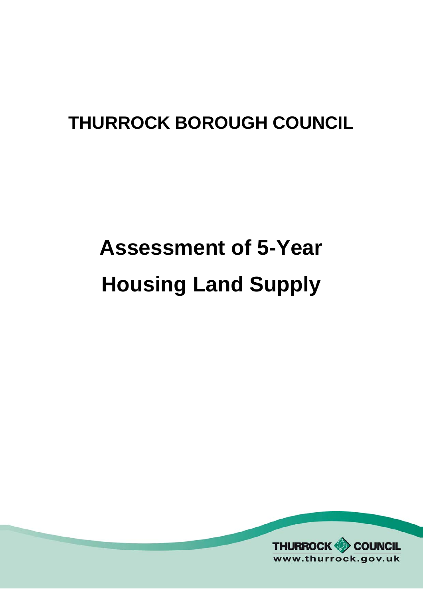### **THURROCK BOROUGH COUNCIL**

# **Assessment of 5-Year Housing Land Supply**

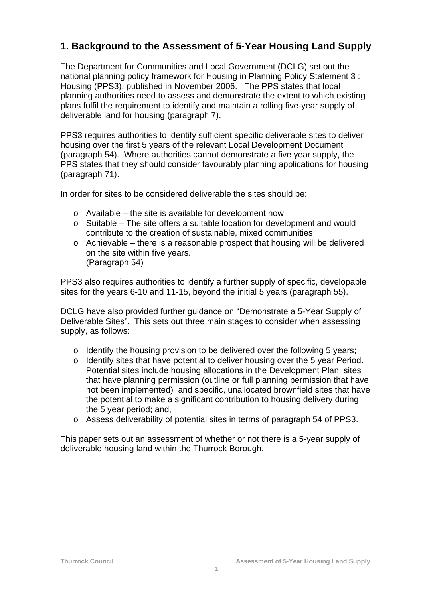#### **1. Background to the Assessment of 5-Year Housing Land Supply**

The Department for Communities and Local Government (DCLG) set out the national planning policy framework for Housing in Planning Policy Statement 3 : Housing (PPS3), published in November 2006. The PPS states that local planning authorities need to assess and demonstrate the extent to which existing plans fulfil the requirement to identify and maintain a rolling five-year supply of deliverable land for housing (paragraph 7).

PPS3 requires authorities to identify sufficient specific deliverable sites to deliver housing over the first 5 years of the relevant Local Development Document (paragraph 54). Where authorities cannot demonstrate a five year supply, the PPS states that they should consider favourably planning applications for housing (paragraph 71).

In order for sites to be considered deliverable the sites should be:

- $\circ$  Available the site is available for development now
- o Suitable The site offers a suitable location for development and would contribute to the creation of sustainable, mixed communities
- $\circ$  Achievable there is a reasonable prospect that housing will be delivered on the site within five years. (Paragraph 54)

PPS3 also requires authorities to identify a further supply of specific, developable sites for the years 6-10 and 11-15, beyond the initial 5 years (paragraph 55).

DCLG have also provided further guidance on "Demonstrate a 5-Year Supply of Deliverable Sites". This sets out three main stages to consider when assessing supply, as follows:

- o Identify the housing provision to be delivered over the following 5 years;
- o Identify sites that have potential to deliver housing over the 5 year Period. Potential sites include housing allocations in the Development Plan; sites that have planning permission (outline or full planning permission that have not been implemented) and specific, unallocated brownfield sites that have the potential to make a significant contribution to housing delivery during the 5 year period; and,
- o Assess deliverability of potential sites in terms of paragraph 54 of PPS3.

This paper sets out an assessment of whether or not there is a 5-year supply of deliverable housing land within the Thurrock Borough.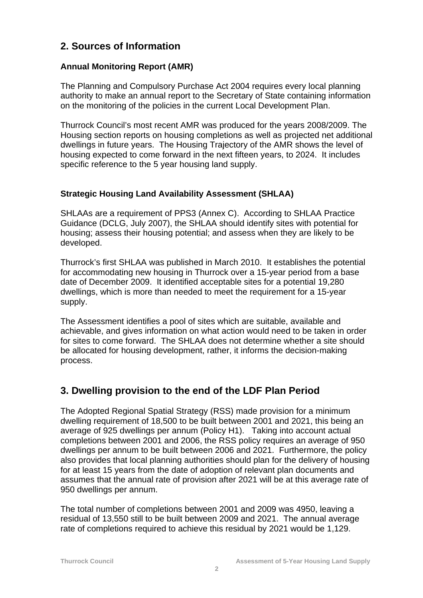#### **2. Sources of Information**

#### **Annual Monitoring Report (AMR)**

The Planning and Compulsory Purchase Act 2004 requires every local planning authority to make an annual report to the Secretary of State containing information on the monitoring of the policies in the current Local Development Plan.

Thurrock Council's most recent AMR was produced for the years 2008/2009. The Housing section reports on housing completions as well as projected net additional dwellings in future years. The Housing Trajectory of the AMR shows the level of housing expected to come forward in the next fifteen years, to 2024. It includes specific reference to the 5 year housing land supply.

#### **Strategic Housing Land Availability Assessment (SHLAA)**

SHLAAs are a requirement of PPS3 (Annex C). According to SHLAA Practice Guidance (DCLG, July 2007), the SHLAA should identify sites with potential for housing; assess their housing potential; and assess when they are likely to be developed.

Thurrock's first SHLAA was published in March 2010. It establishes the potential for accommodating new housing in Thurrock over a 15-year period from a base date of December 2009. It identified acceptable sites for a potential 19,280 dwellings, which is more than needed to meet the requirement for a 15-year supply.

The Assessment identifies a pool of sites which are suitable, available and achievable, and gives information on what action would need to be taken in order for sites to come forward. The SHLAA does not determine whether a site should be allocated for housing development, rather, it informs the decision-making process.

#### **3. Dwelling provision to the end of the LDF Plan Period**

The Adopted Regional Spatial Strategy (RSS) made provision for a minimum dwelling requirement of 18,500 to be built between 2001 and 2021, this being an average of 925 dwellings per annum (Policy H1). Taking into account actual completions between 2001 and 2006, the RSS policy requires an average of 950 dwellings per annum to be built between 2006 and 2021. Furthermore, the policy also provides that local planning authorities should plan for the delivery of housing for at least 15 years from the date of adoption of relevant plan documents and assumes that the annual rate of provision after 2021 will be at this average rate of 950 dwellings per annum.

The total number of completions between 2001 and 2009 was 4950, leaving a residual of 13,550 still to be built between 2009 and 2021. The annual average rate of completions required to achieve this residual by 2021 would be 1,129.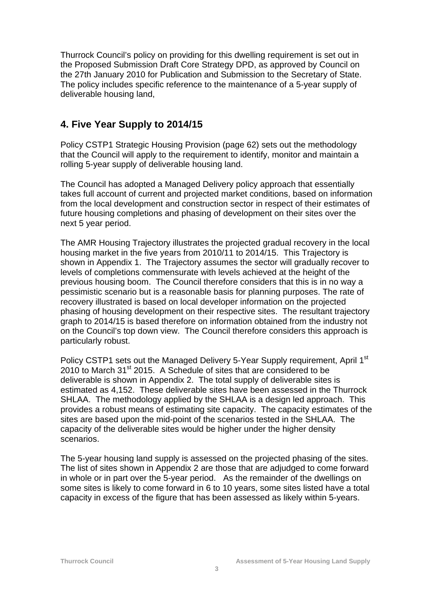Thurrock Council's policy on providing for this dwelling requirement is set out in the Proposed Submission Draft Core Strategy DPD, as approved by Council on the 27th January 2010 for Publication and Submission to the Secretary of State. The policy includes specific reference to the maintenance of a 5-year supply of deliverable housing land,

#### **4. Five Year Supply to 2014/15**

Policy CSTP1 Strategic Housing Provision (page 62) sets out the methodology that the Council will apply to the requirement to identify, monitor and maintain a rolling 5-year supply of deliverable housing land.

The Council has adopted a Managed Delivery policy approach that essentially takes full account of current and projected market conditions, based on information from the local development and construction sector in respect of their estimates of future housing completions and phasing of development on their sites over the next 5 year period.

The AMR Housing Trajectory illustrates the projected gradual recovery in the local housing market in the five years from 2010/11 to 2014/15. This Trajectory is shown in Appendix 1. The Trajectory assumes the sector will gradually recover to levels of completions commensurate with levels achieved at the height of the previous housing boom. The Council therefore considers that this is in no way a pessimistic scenario but is a reasonable basis for planning purposes. The rate of recovery illustrated is based on local developer information on the projected phasing of housing development on their respective sites. The resultant trajectory graph to 2014/15 is based therefore on information obtained from the industry not on the Council's top down view. The Council therefore considers this approach is particularly robust.

Policy CSTP1 sets out the Managed Delivery 5-Year Supply requirement, April 1st  $2010$  to March 31st 2015. A Schedule of sites that are considered to be deliverable is shown in Appendix 2. The total supply of deliverable sites is estimated as 4,152. These deliverable sites have been assessed in the Thurrock SHLAA. The methodology applied by the SHLAA is a design led approach. This provides a robust means of estimating site capacity. The capacity estimates of the sites are based upon the mid-point of the scenarios tested in the SHLAA. The capacity of the deliverable sites would be higher under the higher density scenarios.

The 5-year housing land supply is assessed on the projected phasing of the sites. The list of sites shown in Appendix 2 are those that are adjudged to come forward in whole or in part over the 5-year period. As the remainder of the dwellings on some sites is likely to come forward in 6 to 10 years, some sites listed have a total capacity in excess of the figure that has been assessed as likely within 5-years.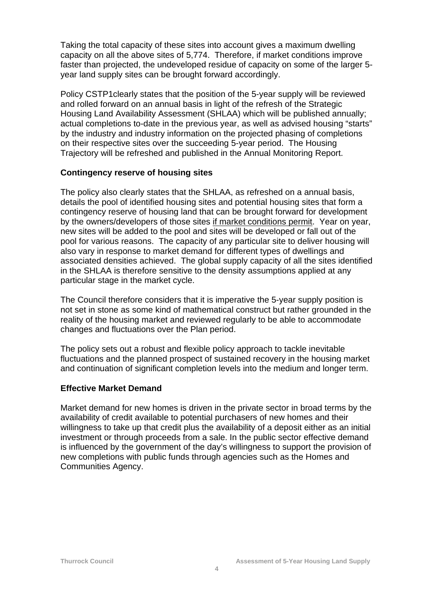Taking the total capacity of these sites into account gives a maximum dwelling capacity on all the above sites of 5,774. Therefore, if market conditions improve faster than projected, the undeveloped residue of capacity on some of the larger 5 year land supply sites can be brought forward accordingly.

Policy CSTP1clearly states that the position of the 5-year supply will be reviewed and rolled forward on an annual basis in light of the refresh of the Strategic Housing Land Availability Assessment (SHLAA) which will be published annually; actual completions to-date in the previous year, as well as advised housing "starts" by the industry and industry information on the projected phasing of completions on their respective sites over the succeeding 5-year period. The Housing Trajectory will be refreshed and published in the Annual Monitoring Report.

#### **Contingency reserve of housing sites**

The policy also clearly states that the SHLAA, as refreshed on a annual basis, details the pool of identified housing sites and potential housing sites that form a contingency reserve of housing land that can be brought forward for development by the owners/developers of those sites if market conditions permit. Year on year, new sites will be added to the pool and sites will be developed or fall out of the pool for various reasons. The capacity of any particular site to deliver housing will also vary in response to market demand for different types of dwellings and associated densities achieved. The global supply capacity of all the sites identified in the SHLAA is therefore sensitive to the density assumptions applied at any particular stage in the market cycle.

The Council therefore considers that it is imperative the 5-year supply position is not set in stone as some kind of mathematical construct but rather grounded in the reality of the housing market and reviewed regularly to be able to accommodate changes and fluctuations over the Plan period.

The policy sets out a robust and flexible policy approach to tackle inevitable fluctuations and the planned prospect of sustained recovery in the housing market and continuation of significant completion levels into the medium and longer term.

#### **Effective Market Demand**

Market demand for new homes is driven in the private sector in broad terms by the availability of credit available to potential purchasers of new homes and their willingness to take up that credit plus the availability of a deposit either as an initial investment or through proceeds from a sale. In the public sector effective demand is influenced by the government of the day's willingness to support the provision of new completions with public funds through agencies such as the Homes and Communities Agency.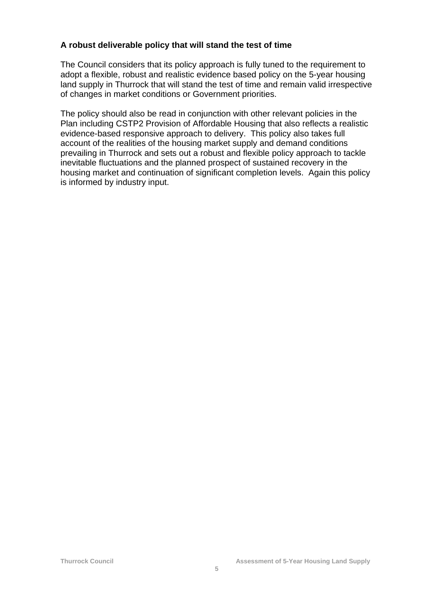#### **A robust deliverable policy that will stand the test of time**

The Council considers that its policy approach is fully tuned to the requirement to adopt a flexible, robust and realistic evidence based policy on the 5-year housing land supply in Thurrock that will stand the test of time and remain valid irrespective of changes in market conditions or Government priorities.

The policy should also be read in conjunction with other relevant policies in the Plan including CSTP2 Provision of Affordable Housing that also reflects a realistic evidence-based responsive approach to delivery. This policy also takes full account of the realities of the housing market supply and demand conditions prevailing in Thurrock and sets out a robust and flexible policy approach to tackle inevitable fluctuations and the planned prospect of sustained recovery in the housing market and continuation of significant completion levels. Again this policy is informed by industry input.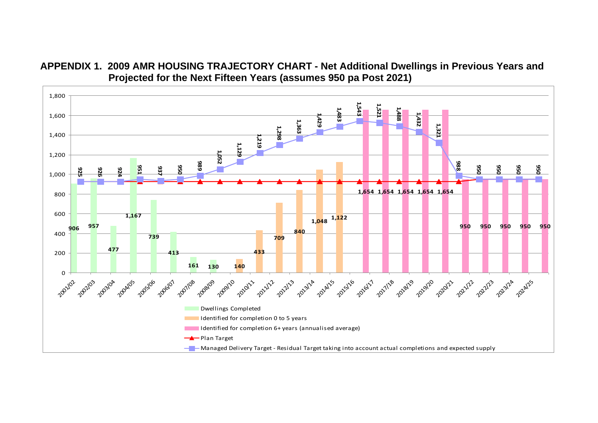

**APPENDIX 1. 2009 AMR HOUSING TRAJECTORY CHART - Net Additional Dwellings in Previous Years and Projected for the Next Fifteen Years (assumes 950 pa Post 2021)**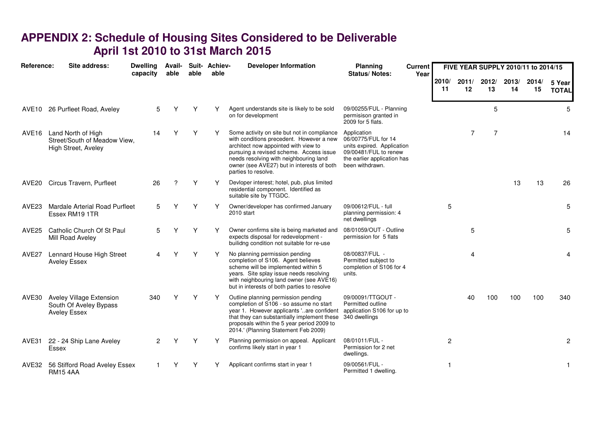## **APPENDIX 2: Schedule of Housing Sites Considered to be Deliverable April 1st 2010 to 31st March 2015**

| Reference:        | Site address:                                                             | <b>Dwelling</b><br>capacity | Avail-<br>able | able | Suit- Achiev-<br>able | <b>Developer Information</b>                                                                                                                                                                                                                                                              | Planning<br><b>Current</b><br><b>Status/Notes:</b>                                                                                          | Year |                | FIVE YEAR SUPPLY 2010/11 to 2014/15 |             |             |             |                        |
|-------------------|---------------------------------------------------------------------------|-----------------------------|----------------|------|-----------------------|-------------------------------------------------------------------------------------------------------------------------------------------------------------------------------------------------------------------------------------------------------------------------------------------|---------------------------------------------------------------------------------------------------------------------------------------------|------|----------------|-------------------------------------|-------------|-------------|-------------|------------------------|
|                   |                                                                           |                             |                |      |                       |                                                                                                                                                                                                                                                                                           |                                                                                                                                             |      | 2010/<br>11    | 2011/<br>12                         | 2012/<br>13 | 2013/<br>14 | 2014/<br>15 | 5 Year<br><b>TOTAL</b> |
|                   | AVE10 26 Purfleet Road, Aveley                                            | 5                           | Υ              |      | Υ                     | Agent understands site is likely to be sold<br>on for development                                                                                                                                                                                                                         | 09/00255/FUL - Planning<br>permisison granted in<br>2009 for 5 flats.                                                                       |      |                |                                     | 5           |             |             | 5                      |
| AVE <sub>16</sub> | Land North of High<br>Street/South of Meadow View,<br>High Street, Aveley | 14                          | ٧              | Υ    | Υ                     | Some activity on site but not in compliance<br>with conditions precedent. However a new<br>architect now appointed with view to<br>pursuing a revised scheme. Access issue<br>needs resolving with neighbouring land<br>owner (see AVE27) but in interests of both<br>parties to resolve. | Application<br>06/00775/FUL for 14<br>units expired. Application<br>09/00481/FUL to renew<br>the earlier application has<br>been withdrawn. |      |                | 7                                   | 7           |             |             | 14                     |
| AVE20             | Circus Travern, Purfleet                                                  | 26                          | ?              | Y    | Y                     | Devloper interest; hotel, pub, plus limited<br>residential component. Identified as<br>suitable site by TTGDC.                                                                                                                                                                            |                                                                                                                                             |      |                |                                     |             | 13          | 13          | 26                     |
| AVE <sub>23</sub> | <b>Mardale Arterial Road Purfleet</b><br>Essex RM19 1TR                   | 5                           | ٧              | Υ    | Υ                     | Owner/developer has confirmed January<br>2010 start                                                                                                                                                                                                                                       | 09/00612/FUL - full<br>planning permission: 4<br>net dwellings                                                                              |      | 5              |                                     |             |             |             | 5                      |
| AVE <sub>25</sub> | Catholic Church Of St Paul<br>Mill Road Aveley                            | 5                           | ∨              | Υ    |                       | Owner confirms site is being marketed and<br>expects disposal for redevelopment -<br>builidng condition not suitable for re-use                                                                                                                                                           | 08/01059/OUT - Outline<br>permission for 5 flats                                                                                            |      |                | 5                                   |             |             |             | 5                      |
| AVE <sub>27</sub> | Lennard House High Street<br><b>Aveley Essex</b>                          | 4                           | Υ              | Y    | Y                     | No planning permission pending<br>completion of S106. Agent believes<br>scheme will be implemented within 5<br>years. Site splay issue needs resolving<br>with neighbouring land owner (see AVE16)<br>but in interests of both parties to resolve                                         | 08/00837/FUL -<br>Permitted subject to<br>completion of S106 for 4<br>units.                                                                |      |                | 4                                   |             |             |             | 4                      |
| AVE30             | Aveley Village Extension<br>South Of Aveley Bypass<br><b>Aveley Essex</b> | 340                         |                | Υ    |                       | Outline planning permission pending<br>completion of S106 - so assume no start<br>year 1. However applicants 'are confident<br>that they can substantially implement these<br>proposals within the 5 year period 2009 to<br>2014.' (Planning Statement Feb 2009)                          | 09/00091/TTGOUT -<br>Permitted outline<br>application S106 for up to<br>340 dwellings                                                       |      |                | 40                                  | 100         | 100         | 100         | 340                    |
| AVE31             | 22 - 24 Ship Lane Aveley<br>Essex                                         | $\mathfrak{p}$              | ٧              | Υ    | Y                     | Planning permission on appeal. Applicant<br>confirms likely start in year 1                                                                                                                                                                                                               | 08/01011/FUL -<br>Permission for 2 net<br>dwellings.                                                                                        |      | $\overline{2}$ |                                     |             |             |             | $\overline{2}$         |
| AVE32             | 56 Stifford Road Aveley Essex<br><b>RM154AA</b>                           |                             |                |      |                       | Applicant confirms start in year 1                                                                                                                                                                                                                                                        | 09/00561/FUL -<br>Permitted 1 dwelling.                                                                                                     |      |                |                                     |             |             |             |                        |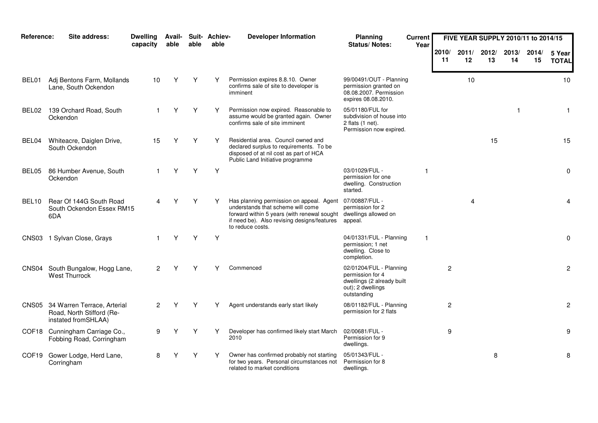| Reference:        | Site address:                                                                         | <b>Dwelling</b><br>capacity | Avail-<br>able | able | Suit- Achiev-<br>able | <b>Developer Information</b>                                                                                                                                                                     | Planning<br>Status/Notes:                                                                                     | <b>Current</b><br>Year |                |             | FIVE YEAR SUPPLY 2010/11 to 2014/15 |             |             |                        |
|-------------------|---------------------------------------------------------------------------------------|-----------------------------|----------------|------|-----------------------|--------------------------------------------------------------------------------------------------------------------------------------------------------------------------------------------------|---------------------------------------------------------------------------------------------------------------|------------------------|----------------|-------------|-------------------------------------|-------------|-------------|------------------------|
|                   |                                                                                       |                             |                |      |                       |                                                                                                                                                                                                  |                                                                                                               |                        | 2010/<br>11    | 2011/<br>12 | 2012/<br>13                         | 2013/<br>14 | 2014/<br>15 | 5 Year<br><b>TOTAL</b> |
| BEL01             | Adj Bentons Farm, Mollands<br>Lane, South Ockendon                                    | 10                          | Y              | Υ    | Y                     | Permission expires 8.8.10. Owner<br>confirms sale of site to developer is<br>imminent                                                                                                            | 99/00491/OUT - Planning<br>permission granted on<br>08.08.2007. Permission<br>expires 08.08.2010.             |                        |                | 10          |                                     |             |             | 10                     |
| BEL02             | 139 Orchard Road, South<br>Ockendon                                                   |                             |                | Y    | Y                     | Permission now expired. Reasonable to<br>assume would be granted again. Owner<br>confirms sale of site imminent                                                                                  | 05/01180/FUL for<br>subdivision of house into<br>2 flats $(1$ net).<br>Permission now expired.                |                        |                |             |                                     | -1          |             | $\mathbf{1}$           |
| BEL04             | Whiteacre, Daiglen Drive,<br>South Ockendon                                           | 15                          | Υ              | Υ    | Y                     | Residential area. Council owned and<br>declared surplus to requirements. To be<br>disposed of at nil cost as part of HCA<br>Public Land Initiative programme                                     |                                                                                                               |                        |                |             | 15                                  |             |             | 15                     |
| BEL05             | 86 Humber Avenue, South<br>Ockendon                                                   |                             | Υ              | Υ    | Y                     |                                                                                                                                                                                                  | 03/01029/FUL -<br>permission for one<br>dwelling. Construction<br>started.                                    |                        |                |             |                                     |             |             | 0                      |
| BEL <sub>10</sub> | Rear Of 144G South Road<br>South Ockendon Essex RM15<br>6DA                           |                             |                | Υ    |                       | Has planning permission on appeal. Agent<br>understands that scheme will come<br>forward within 5 years (with renewal sought)<br>if need be). Also revising designs/features<br>to reduce costs. | 07/00887/FUL -<br>permission for 2<br>dwellings allowed on<br>appeal.                                         |                        |                | 4           |                                     |             |             | 4                      |
|                   | CNS03 1 Sylvan Close, Grays                                                           |                             | Y              | Υ    | Y                     |                                                                                                                                                                                                  | 04/01331/FUL - Planning<br>permission; 1 net<br>dwelling. Close to<br>completion.                             | $\mathbf{1}$           |                |             |                                     |             |             | 0                      |
| CNS04             | South Bungalow, Hogg Lane,<br><b>West Thurrock</b>                                    | $\overline{2}$              | Υ              | Υ    | Υ                     | Commenced                                                                                                                                                                                        | 02/01204/FUL - Planning<br>permission for 4<br>dwellings (2 already built<br>out); 2 dwellings<br>outstanding |                        | $\overline{c}$ |             |                                     |             |             | $\overline{c}$         |
|                   | CNS05 34 Warren Terrace, Arterial<br>Road, North Stifford (Re-<br>instated fromSHLAA) | $\overline{2}$              |                | Υ    | Υ                     | Agent understands early start likely                                                                                                                                                             | 08/01182/FUL - Planning<br>permission for 2 flats                                                             |                        | 2              |             |                                     |             |             | $\overline{c}$         |
|                   | COF18 Cunningham Carriage Co.,<br>Fobbing Road, Corringham                            | 9                           | Υ              | Y    | Y                     | Developer has confirmed likely start March<br>2010                                                                                                                                               | 02/00681/FUL -<br>Permission for 9<br>dwellings.                                                              |                        | 9              |             |                                     |             |             | 9                      |
| COF <sub>19</sub> | Gower Lodge, Herd Lane,<br>Corringham                                                 | 8                           |                | Y    | Y                     | Owner has confirmed probably not starting<br>for two years. Personal circumstances not<br>related to market conditions                                                                           | 05/01343/FUL -<br>Permission for 8<br>dwellings.                                                              |                        |                |             | 8                                   |             |             | 8                      |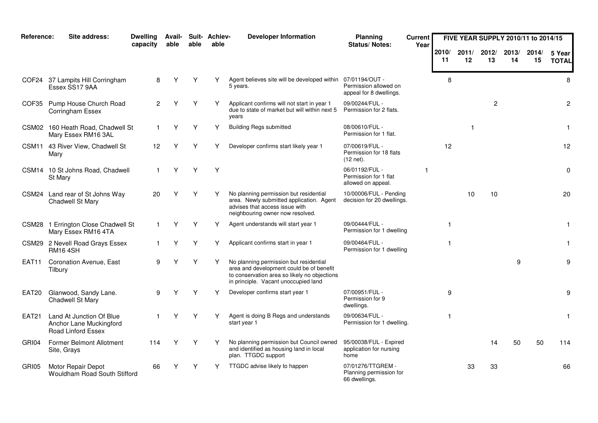| Reference:   | Site address:                                                             | <b>Dwelling</b><br>capacity | Avail-<br>able | able | Suit- Achiev-<br>able | <b>Developer Information</b>                                                                                                                                               | Planning<br>Status/Notes:                                     | <b>Current</b><br>Year |             |             | FIVE YEAR SUPPLY 2010/11 to 2014/15 |             |             |                        |
|--------------|---------------------------------------------------------------------------|-----------------------------|----------------|------|-----------------------|----------------------------------------------------------------------------------------------------------------------------------------------------------------------------|---------------------------------------------------------------|------------------------|-------------|-------------|-------------------------------------|-------------|-------------|------------------------|
|              |                                                                           |                             |                |      |                       |                                                                                                                                                                            |                                                               |                        | 2010/<br>11 | 2011/<br>12 | 2012/<br>13                         | 2013/<br>14 | 2014/<br>15 | 5 Year<br><b>TOTAL</b> |
|              | COF24 37 Lampits Hill Corringham<br>Essex SS17 9AA                        | 8                           | Υ              | Υ    | Y                     | Agent believes site will be developed within 07/01194/OUT -<br>5 years.                                                                                                    | Permission allowed on<br>appeal for 8 dwellings.              |                        | 8           |             |                                     |             |             | 8                      |
| COF35        | Pump House Church Road<br>Corringham Essex                                | 2                           |                | Υ    | Y                     | Applicant confirms will not start in year 1<br>due to state of market but will within next 5<br>years                                                                      | 09/00244/FUL -<br>Permission for 2 flats.                     |                        |             |             | $\overline{c}$                      |             |             | $\overline{2}$         |
|              | CSM02 160 Heath Road, Chadwell St<br>Mary Essex RM16 3AL                  | $\mathbf{1}$                | Υ              | Υ    | Υ                     | <b>Building Regs submitted</b>                                                                                                                                             | 08/00610/FUL -<br>Permission for 1 flat.                      |                        |             | 1           |                                     |             |             | -1                     |
| CSM11        | 43 River View, Chadwell St<br>Mary                                        | 12                          | Υ              | Υ    | Υ                     | Developer confirms start likely year 1                                                                                                                                     | 07/00619/FUL -<br>Permission for 18 flats<br>$(12$ net).      |                        | $12 \,$     |             |                                     |             |             | 12                     |
|              | CSM14 10 St Johns Road, Chadwell<br>St Mary                               | $\mathbf{1}$                | Υ              | Υ    | Υ                     |                                                                                                                                                                            | 06/01192/FUL -<br>Permission for 1 flat<br>allowed on appeal. |                        |             |             |                                     |             |             | 0                      |
|              | CSM24 Land rear of St Johns Way<br>Chadwell St Mary                       | 20                          | ٧              | Υ    | Υ                     | No planning permission but residential<br>area. Newly submitted application. Agent<br>advises that access issue with<br>neighbouring owner now resolved.                   | 10/00006/FUL - Pending<br>decision for 20 dwellings.          |                        |             | 10          | 10                                  |             |             | 20                     |
|              | CSM28 1 Errington Close Chadwell St<br>Mary Essex RM16 4TA                | $\mathbf{1}$                | Y              | Y    | Υ                     | Agent understands will start year 1                                                                                                                                        | 09/00444/FUL -<br>Permission for 1 dwelling                   |                        | $\mathbf 1$ |             |                                     |             |             | $\mathbf{1}$           |
|              | CSM29 2 Nevell Road Grays Essex<br><b>RM164SH</b>                         |                             |                | Υ    | Y                     | Applicant confirms start in year 1                                                                                                                                         | 09/00464/FUL -<br>Permission for 1 dwelling                   |                        |             |             |                                     |             |             | 1                      |
| EAT11        | <b>Coronation Avenue, East</b><br>Tilbury                                 | 9                           |                | Y    | Y                     | No planning permission but residential<br>area and development could be of benefit<br>to conservation area so likely no objections<br>in principle. Vacant unoccupied land |                                                               |                        |             |             |                                     | 9           |             | 9                      |
| EAT20        | Glanwood, Sandy Lane.<br>Chadwell St Mary                                 | 9                           | Υ              | Υ    | Υ                     | Developer confirms start year 1                                                                                                                                            | 07/00951/FUL -<br>Permission for 9<br>dwellings.              |                        | 9           |             |                                     |             |             | 9                      |
| <b>EAT21</b> | Land At Junction Of Blue<br>Anchor Lane Muckingford<br>Road Linford Essex | $\mathbf 1$                 | Y              | Y    | Υ                     | Agent is doing B Regs and understands<br>start year 1                                                                                                                      | 09/00634/FUL -<br>Permission for 1 dwelling.                  |                        |             |             |                                     |             |             | $\mathbf{1}$           |
| GRI04        | <b>Former Belmont Allotment</b><br>Site, Grays                            | 114                         | Υ              | Y    | Y                     | No planning permission but Council owned<br>and identified as housing land in local<br>plan. TTGDC support                                                                 | 95/00038/FUL - Expired<br>application for nursing<br>home     |                        |             |             | 14                                  | 50          | 50          | 114                    |
| GRI05        | Motor Repair Depot<br>Wouldham Road South Stifford                        | 66                          |                | Υ    | Y                     | TTGDC advise likely to happen                                                                                                                                              | 07/01276/TTGREM -<br>Planning permission for<br>66 dwellings. |                        |             | 33          | 33                                  |             |             | 66                     |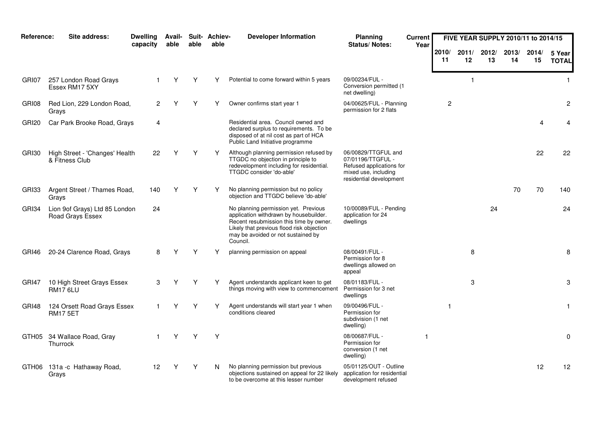| Reference: | Site address:                                     | <b>Dwelling</b><br>capacity | Avail-<br>able | able | Suit- Achiev-<br>able | <b>Developer Information</b>                                                                                                                                                                                             | Planning<br><b>Status/Notes:</b>                                                                                        | <b>Current</b><br>Year |                |                      | FIVE YEAR SUPPLY 2010/11 to 2014/15 |             |             |                        |
|------------|---------------------------------------------------|-----------------------------|----------------|------|-----------------------|--------------------------------------------------------------------------------------------------------------------------------------------------------------------------------------------------------------------------|-------------------------------------------------------------------------------------------------------------------------|------------------------|----------------|----------------------|-------------------------------------|-------------|-------------|------------------------|
|            |                                                   |                             |                |      |                       |                                                                                                                                                                                                                          |                                                                                                                         |                        | 2010/<br>11    | 2011/<br>12          | 2012/<br>13                         | 2013/<br>14 | 2014/<br>15 | 5 Year<br><b>TOTAL</b> |
| GRI07      | 257 London Road Grays<br>Essex RM17 5XY           |                             | Υ              | Υ    |                       | Potential to come forward within 5 years                                                                                                                                                                                 | 09/00234/FUL -<br>Conversion permitted (1<br>net dwelling)                                                              |                        |                | $\blacktriangleleft$ |                                     |             |             | $\mathbf{1}$           |
| GRI08      | Red Lion, 229 London Road,<br>Grays               | $\overline{2}$              |                |      |                       | Owner confirms start year 1                                                                                                                                                                                              | 04/00625/FUL - Planning<br>permission for 2 flats                                                                       |                        | $\overline{c}$ |                      |                                     |             |             | $\overline{c}$         |
| GRI20      | Car Park Brooke Road, Grays                       | $\overline{4}$              |                |      |                       | Residential area. Council owned and<br>declared surplus to requirements. To be<br>disposed of at nil cost as part of HCA<br>Public Land Initiative programme                                                             |                                                                                                                         |                        |                |                      |                                     |             |             | 4                      |
| GRI30      | High Street - 'Changes' Health<br>& Fitness Club  | 22                          | Υ              | Υ    | Υ                     | Although planning permission refused by<br>TTGDC no objection in principle to<br>redevelopment including for residential.<br>TTGDC consider 'do-able'                                                                    | 06/00829/TTGFUL and<br>07/01196/TTGFUL -<br>Refused applications for<br>mixed use, including<br>residential development |                        |                |                      |                                     |             | 22          | 22                     |
| GRI33      | Argent Street / Thames Road,<br>Grays             | 140                         | Υ              | Υ    | Y                     | No planning permission but no policy<br>objection and TTGDC believe 'do-able'                                                                                                                                            |                                                                                                                         |                        |                |                      |                                     | 70          | 70          | 140                    |
| GRI34      | Lion 9of Grays) Ltd 85 London<br>Road Grays Essex | 24                          |                |      |                       | No planning permission yet. Previous<br>application withdrawn by housebuilder.<br>Recent resubmission this time by owner.<br>Likely that previous flood risk objection<br>may be avoided or not sustained by<br>Council. | 10/00089/FUL - Pending<br>application for 24<br>dwellings                                                               |                        |                |                      | 24                                  |             |             | 24                     |
| GRI46      | 20-24 Clarence Road, Grays                        | 8                           |                | Υ    | Υ                     | planning permission on appeal                                                                                                                                                                                            | 08/00491/FUL -<br>Permission for 8<br>dwellings allowed on<br>appeal                                                    |                        |                | 8                    |                                     |             |             | 8                      |
| GRI47      | 10 High Street Grays Essex<br><b>RM17 6LU</b>     | 3                           | Y              | Υ    | Υ                     | Agent understands applicant keen to get<br>things moving with view to commencement                                                                                                                                       | 08/01183/FUL -<br>Permission for 3 net<br>dwellings                                                                     |                        |                | 3                    |                                     |             |             | 3                      |
| GRI48      | 124 Orsett Road Grays Essex<br><b>RM17 5ET</b>    |                             | Y              | Υ    | ٧                     | Agent understands will start year 1 when<br>conditions cleared                                                                                                                                                           | 09/00496/FUL -<br>Permission for<br>subdivision (1 net<br>dwelling)                                                     |                        | -1             |                      |                                     |             |             | $\mathbf{1}$           |
|            | GTH05 34 Wallace Road, Gray<br>Thurrock           |                             | Υ              | Υ    | Y                     |                                                                                                                                                                                                                          | 08/00687/FUL -<br>Permission for<br>conversion (1 net<br>dwelling)                                                      |                        |                |                      |                                     |             |             | $\mathbf 0$            |
|            | GTH06 131a -c Hathaway Road,<br>Grays             | 12                          |                | Y    | N                     | No planning permission but previous<br>objections sustained on appeal for 22 likely<br>to be overcome at this lesser number                                                                                              | 05/01125/OUT - Outline<br>application for residential<br>development refused                                            |                        |                |                      |                                     |             | 12          | 12                     |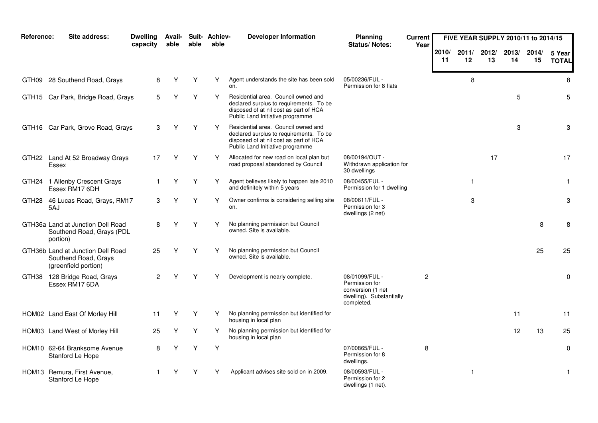| Reference: | Site address:                                                                     | <b>Dwelling</b><br>capacity | <b>Avail-</b><br>able | able | Suit- Achiev-<br>able | <b>Developer Information</b>                                                                                                                                 | Planning<br>Status/Notes:                                                                       | <b>Current</b><br>Year |             |              | FIVE YEAR SUPPLY 2010/11 to 2014/15 |             |             |                        |
|------------|-----------------------------------------------------------------------------------|-----------------------------|-----------------------|------|-----------------------|--------------------------------------------------------------------------------------------------------------------------------------------------------------|-------------------------------------------------------------------------------------------------|------------------------|-------------|--------------|-------------------------------------|-------------|-------------|------------------------|
|            |                                                                                   |                             |                       |      |                       |                                                                                                                                                              |                                                                                                 |                        | 2010/<br>11 | 2011/<br>12  | 2012/<br>13                         | 2013/<br>14 | 2014/<br>15 | 5 Year<br><b>TOTAL</b> |
|            | GTH09 28 Southend Road, Grays                                                     | 8                           | Y                     | Υ    | Y                     | Agent understands the site has been sold<br>on.                                                                                                              | 05/00236/FUL -<br>Permission for 8 flats                                                        |                        |             | 8            |                                     |             |             | 8                      |
|            | GTH15 Car Park, Bridge Road, Grays                                                | 5                           | Υ                     | Υ    | Υ                     | Residential area. Council owned and<br>declared surplus to requirements. To be<br>disposed of at nil cost as part of HCA<br>Public Land Initiative programme |                                                                                                 |                        |             |              |                                     | 5           |             | 5                      |
|            | GTH16 Car Park, Grove Road, Grays                                                 | 3                           | Υ                     | Υ    | Y                     | Residential area. Council owned and<br>declared surplus to requirements. To be<br>disposed of at nil cost as part of HCA<br>Public Land Initiative programme |                                                                                                 |                        |             |              |                                     | 3           |             | 3                      |
|            | GTH22 Land At 52 Broadway Grays<br>Essex                                          | 17                          | Υ                     | Υ    | Υ                     | Allocated for new road on local plan but<br>road proposal abandoned by Council                                                                               | 08/00194/OUT -<br>Withdrawn application for<br>30 dwellings                                     |                        |             |              | 17                                  |             |             | 17                     |
|            | GTH24 1 Allenby Crescent Grays<br>Essex RM17 6DH                                  |                             | Y                     | Y    | Y                     | Agent believes likely to happen late 2010<br>and definitely within 5 years                                                                                   | 08/00455/FUL -<br>Permission for 1 dwelling                                                     |                        |             | $\mathbf{1}$ |                                     |             |             | $\mathbf{1}$           |
| GTH28      | 46 Lucas Road, Grays, RM17<br>5AJ                                                 | 3                           | Y                     | Y    | Y                     | Owner confirms is considering selling site<br>on.                                                                                                            | 08/00611/FUL -<br>Permission for 3<br>dwellings (2 net)                                         |                        |             | 3            |                                     |             |             | 3                      |
|            | GTH36a Land at Junction Dell Road<br>Southend Road, Grays (PDL<br>portion)        | 8                           | Υ                     | Y    | Υ                     | No planning permission but Council<br>owned. Site is available.                                                                                              |                                                                                                 |                        |             |              |                                     |             | 8           | 8                      |
|            | GTH36b Land at Junction Dell Road<br>Southend Road, Grays<br>(greenfield portion) | 25                          | Υ                     | Υ    | Υ                     | No planning permission but Council<br>owned. Site is available.                                                                                              |                                                                                                 |                        |             |              |                                     |             | 25          | 25                     |
|            | GTH38 128 Bridge Road, Grays<br>Essex RM17 6DA                                    | 2                           |                       | Υ    | Υ                     | Development is nearly complete.                                                                                                                              | 08/01099/FUL -<br>Permission for<br>conversion (1 net<br>dwelling). Substantially<br>completed. | $\overline{2}$         |             |              |                                     |             |             | 0                      |
|            | HOM02 Land East Of Morley Hill                                                    | 11                          | Y                     | Υ    | Υ                     | No planning permission but identified for<br>housing in local plan                                                                                           |                                                                                                 |                        |             |              |                                     | 11          |             | 11                     |
|            | HOM03 Land West of Morley Hill                                                    | 25                          | Y                     | Υ    | Υ                     | No planning permission but identified for<br>housing in local plan                                                                                           |                                                                                                 |                        |             |              |                                     | 12          | 13          | 25                     |
|            | HOM10 62-64 Branksome Avenue<br>Stanford Le Hope                                  | 8                           | Y                     | Υ    | Y                     |                                                                                                                                                              | 07/00865/FUL -<br>Permission for 8<br>dwellings.                                                | 8                      |             |              |                                     |             |             | 0                      |
|            | HOM13 Remura, First Avenue,<br>Stanford Le Hope                                   |                             |                       |      | Υ                     | Applicant advises site sold on in 2009.                                                                                                                      | 08/00593/FUL -<br>Permission for 2<br>dwellings (1 net).                                        |                        |             | $\mathbf{1}$ |                                     |             |             | $\mathbf{1}$           |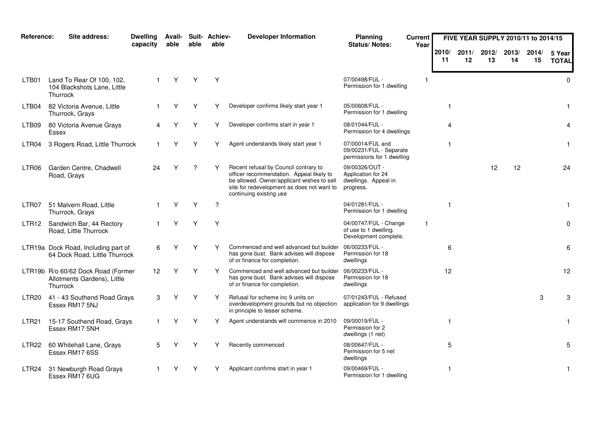| Reference:        | Site address:                                                                        | <b>Dwelling</b><br>capacity | Avail-<br>able | able | Suit- Achiev-<br>able | <b>Developer Information</b>                                                                                                                                                                             | <b>Planning</b><br>Status/Notes:                                          | <b>Current</b><br>Year |              |             | FIVE YEAR SUPPLY 2010/11 to 2014/15 |             |             |                        |
|-------------------|--------------------------------------------------------------------------------------|-----------------------------|----------------|------|-----------------------|----------------------------------------------------------------------------------------------------------------------------------------------------------------------------------------------------------|---------------------------------------------------------------------------|------------------------|--------------|-------------|-------------------------------------|-------------|-------------|------------------------|
|                   |                                                                                      |                             |                |      |                       |                                                                                                                                                                                                          |                                                                           |                        | 2010/<br>-11 | 2011/<br>12 | 2012/<br>13                         | 2013/<br>14 | 2014/<br>15 | 5 Year<br><b>TOTAL</b> |
| LTB01             | Land To Rear Of 100, 102,<br>104 Blackshots Lane, Little<br>Thurrock                 |                             | Υ              | Υ    | Υ                     |                                                                                                                                                                                                          | 07/00498/FUL -<br>Permission for 1 dwelling                               |                        |              |             |                                     |             |             | $\Omega$               |
| LTB04             | 82 Victoria Avenue, Little<br>Thurrock, Grays                                        |                             | Y              | Y    | Υ                     | Developer confirms likely start year 1                                                                                                                                                                   | 05/00608/FUL -<br>Permission for 1 dwelling                               |                        |              |             |                                     |             |             | $\mathbf{1}$           |
| LTB09             | 80 Victoria Avenue Grays<br>Essex                                                    |                             |                | Y    | Υ                     | Developer confirms start in year 1                                                                                                                                                                       | 08/01044/FUL -<br>Permission for 4 dwellings                              |                        | 4            |             |                                     |             |             | 4                      |
| LTR04             | 3 Rogers Road, Little Thurrock                                                       |                             | Υ              | Y    | Y                     | Agent understands likely start year 1                                                                                                                                                                    | 07/00014/FUL and<br>09/00231/FUL - Separate<br>permissions for 1 dwelling |                        |              |             |                                     |             |             | $\mathbf{1}$           |
| LTR06             | Garden Centre, Chadwell<br>Road, Grays                                               | 24                          |                | ?    | Υ                     | Recent refusal by Council contrary to<br>officer recommendation. Appeal likely to<br>be allowed. Owner/applicant wishes to sell<br>site for redevelopment as does not want to<br>continuing existing use | 09/00326/OUT -<br>Application for 24<br>dwellings. Appeal in<br>progress. |                        |              |             | 12                                  | 12          |             | 24                     |
| LTR <sub>07</sub> | 51 Malvern Road, Little<br>Thurrock, Grays                                           |                             | Υ              | Υ    | ?                     |                                                                                                                                                                                                          | 04/01281/FUL -<br>Permission for 1 dwelling                               |                        | $\mathbf{1}$ |             |                                     |             |             | $\mathbf{1}$           |
| LTR <sub>12</sub> | Sandwich Bar, 44 Rectory<br>Road, Little Thurrock                                    |                             | Υ              | Υ    | Y                     |                                                                                                                                                                                                          | 04/00747/FUL - Change<br>of use to 1 dwelling.<br>Development complete.   | $\mathbf{1}$           |              |             |                                     |             |             | $\mathbf 0$            |
|                   | LTR19a Dock Road, Including part of<br>64 Dock Road, Little Thurrock                 | 6                           | Y              | Υ    | Υ                     | Commenced and well advanced but builder<br>has gone bust. Bank advises will dispose<br>of or finance for completion.                                                                                     | 06/00233/FUL -<br>Permission for 18<br>dwellings                          |                        | 6            |             |                                     |             |             | 6                      |
|                   | LTR19b R/o 60/62 Dock Road (Former<br>Allotments Gardens), Little<br><b>Thurrock</b> | 12                          | Υ              | Y    | Y                     | Commenced and well advanced but builder<br>has gone bust. Bank advises will dispose<br>of or finance for completion.                                                                                     | 06/00233/FUL -<br>Permission for 18<br>dwellings                          |                        | 12           |             |                                     |             |             | 12                     |
| LTR <sub>20</sub> | 41 - 43 Southend Road Grays<br>Essex RM17 5NJ                                        | 3                           |                | Υ    | Υ                     | Refusal for scheme inc 9 units on<br>overdevelopment grounds but no objection<br>in principle to lesser scheme.                                                                                          | 07/01243/FUL - Refused<br>application for 9 dwellings                     |                        |              |             |                                     |             | 3           | 3                      |
| LTR21             | 15-17 Southend Road, Grays<br>Essex RM17 5NH                                         |                             | Υ              | Υ    | Υ                     | Agent understands will commence in 2010                                                                                                                                                                  | 09/00019/FUL -<br>Permission for 2<br>dwellings (1 net)                   |                        | $\mathbf{1}$ |             |                                     |             |             | -1                     |
| LTR22             | 60 Whitehall Lane, Grays<br>Essex RM17 6SS                                           | 5                           |                | Υ    | Υ                     | Recently commenced                                                                                                                                                                                       | 08/00647/FUL -<br>Permission for 5 net<br>dwellings                       |                        | 5            |             |                                     |             |             | 5                      |
| LTR24             | 31 Newburgh Road Grays<br>Essex RM17 6UG                                             |                             |                |      |                       | Applicant confirms start in year 1                                                                                                                                                                       | 09/00469/FUL -<br>Permission for 1 dwelling                               |                        | -1           |             |                                     |             |             | $\mathbf{1}$           |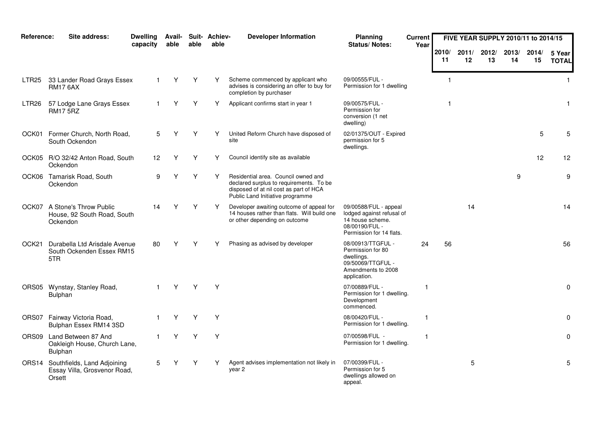| Reference:        | Site address:                                                               | <b>Dwelling</b><br>capacity | <b>Avail-</b><br>able | able | Suit- Achiev-<br>able | <b>Developer Information</b>                                                                                                                                 | <b>Planning</b><br>Status/Notes:                                                                                     | <b>Current</b><br>Year |                |             | FIVE YEAR SUPPLY 2010/11 to 2014/15 |             |             |                        |
|-------------------|-----------------------------------------------------------------------------|-----------------------------|-----------------------|------|-----------------------|--------------------------------------------------------------------------------------------------------------------------------------------------------------|----------------------------------------------------------------------------------------------------------------------|------------------------|----------------|-------------|-------------------------------------|-------------|-------------|------------------------|
|                   |                                                                             |                             |                       |      |                       |                                                                                                                                                              |                                                                                                                      |                        | 2010/<br>11    | 2011/<br>12 | 2012/<br>13                         | 2013/<br>14 | 2014/<br>15 | 5 Year<br><b>TOTAL</b> |
| LTR25             | 33 Lander Road Grays Essex<br><b>RM17 6AX</b>                               |                             | Y                     | Y    | Υ                     | Scheme commenced by applicant who<br>advises is considering an offer to buy for<br>completion by purchaser                                                   | 09/00555/FUL -<br>Permission for 1 dwelling                                                                          |                        | $\overline{1}$ |             |                                     |             |             | $\mathbf{1}$           |
| LTR <sub>26</sub> | 57 Lodge Lane Grays Essex<br><b>RM17 5RZ</b>                                |                             | Υ                     | Y    | Υ                     | Applicant confirms start in year 1                                                                                                                           | 09/00575/FUL -<br>Permission for<br>conversion (1 net<br>dwelling)                                                   |                        | $\mathbf{1}$   |             |                                     |             |             | $\mathbf{1}$           |
| OCK01             | Former Church, North Road,<br>South Ockendon                                | 5                           | Y                     | Υ    | Υ                     | United Reform Church have disposed of<br>site                                                                                                                | 02/01375/OUT - Expired<br>permission for 5<br>dwellings.                                                             |                        |                |             |                                     |             | 5           | 5                      |
|                   | OCK05 R/O 32/42 Anton Road, South<br>Ockendon                               | 12 <sub>2</sub>             | Y                     | Υ    | Y                     | Council identify site as available                                                                                                                           |                                                                                                                      |                        |                |             |                                     |             | 12          | 12                     |
|                   | OCK06 Tamarisk Road, South<br>Ockendon                                      | 9                           |                       | Y    | Υ                     | Residential area. Council owned and<br>declared surplus to requirements. To be<br>disposed of at nil cost as part of HCA<br>Public Land Initiative programme |                                                                                                                      |                        |                |             |                                     | 9           |             | 9                      |
| OCK07             | A Stone's Throw Public<br>House, 92 South Road, South<br>Ockendon           | 14                          | Υ                     | Υ    | Y                     | Developer awaiting outcome of appeal for<br>14 houses rather than flats. Will build one<br>or other depending on outcome                                     | 09/00588/FUL - appeal<br>lodged against refusal of<br>14 house scheme.<br>08/00190/FUL -<br>Permission for 14 flats. |                        |                | 14          |                                     |             |             | 14                     |
| OCK <sub>21</sub> | Durabella Ltd Arisdale Avenue<br>South Ockenden Essex RM15<br>5TR           | 80                          | Υ                     | Υ    | Υ                     | Phasing as advised by developer                                                                                                                              | 08/00913/TTGFUL -<br>Permission for 80<br>dwellings.<br>09/50069/TTGFUL -<br>Amendments to 2008<br>application.      | 24                     | 56             |             |                                     |             |             | 56                     |
|                   | ORS05 Wynstay, Stanley Road,<br>Bulphan                                     |                             | Y                     | Y    | Υ                     |                                                                                                                                                              | 07/00889/FUL -<br>Permission for 1 dwelling.<br>Development<br>commenced.                                            |                        |                |             |                                     |             |             | 0                      |
|                   | ORS07 Fairway Victoria Road,<br>Bulphan Essex RM14 3SD                      |                             | Υ                     | Y    | Y                     |                                                                                                                                                              | 08/00420/FUL -<br>Permission for 1 dwelling.                                                                         | -1                     |                |             |                                     |             |             | 0                      |
|                   | ORS09 Land Between 87 And<br>Oakleigh House, Church Lane,<br>Bulphan        | $\mathbf{1}$                | Y                     | Y    | Y                     |                                                                                                                                                              | 07/00598/FUL -<br>Permission for 1 dwelling.                                                                         | -1                     |                |             |                                     |             |             | $\mathbf 0$            |
|                   | ORS14 Southfields, Land Adjoining<br>Essay Villa, Grosvenor Road,<br>Orsett | 5                           |                       | Υ    | Υ                     | Agent advises implementation not likely in<br>year 2                                                                                                         | 07/00399/FUL -<br>Permission for 5<br>dwellings allowed on<br>appeal.                                                |                        |                | 5           |                                     |             |             | 5                      |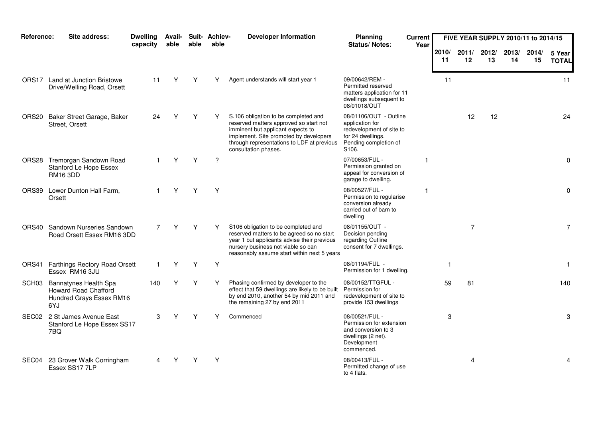| Reference:        | Site address:                                                                           | <b>Dwelling</b><br>capacity | Avail-<br>able | able | Suit- Achiev-<br>able | <b>Developer Information</b>                                                                                                                                                                                                        | Planning<br><b>Status/Notes:</b>                                                                                             | <b>Current</b><br>Year |             |             |             |             | FIVE YEAR SUPPLY 2010/11 to 2014/15 |                        |
|-------------------|-----------------------------------------------------------------------------------------|-----------------------------|----------------|------|-----------------------|-------------------------------------------------------------------------------------------------------------------------------------------------------------------------------------------------------------------------------------|------------------------------------------------------------------------------------------------------------------------------|------------------------|-------------|-------------|-------------|-------------|-------------------------------------|------------------------|
|                   |                                                                                         |                             |                |      |                       |                                                                                                                                                                                                                                     |                                                                                                                              |                        | 2010/<br>11 | 2011/<br>12 | 2012/<br>13 | 2013/<br>14 | 2014/<br>15                         | 5 Year<br><b>TOTAL</b> |
| ORS17             | Land at Junction Bristowe<br>Drive/Welling Road, Orsett                                 | 11                          | Y              | Υ    | Y                     | Agent understands will start year 1                                                                                                                                                                                                 | 09/00642/REM -<br>Permitted reserved<br>matters application for 11<br>dwellings subsequent to<br>08/01018/OUT                |                        | 11          |             |             |             |                                     | 11                     |
| ORS20             | Baker Street Garage, Baker<br>Street, Orsett                                            | 24                          | Υ              | Y    |                       | S.106 obligation to be completed and<br>reserved matters approved so start not<br>imminent but applicant expects to<br>implement. Site promoted by developers<br>through representations to LDF at previous<br>consultation phases. | 08/01106/OUT - Outline<br>application for<br>redevelopment of site to<br>for 24 dwellings.<br>Pending completion of<br>S106. |                        |             | 12          | 12          |             |                                     | 24                     |
|                   | ORS28 Tremorgan Sandown Road<br>Stanford Le Hope Essex<br><b>RM16 3DD</b>               |                             | Υ              | Y    | ?                     |                                                                                                                                                                                                                                     | 07/00653/FUL -<br>Permission granted on<br>appeal for conversion of<br>garage to dwelling.                                   |                        |             |             |             |             |                                     | 0                      |
| ORS39             | Lower Dunton Hall Farm,<br>Orsett                                                       |                             | Υ              | Y    | Υ                     |                                                                                                                                                                                                                                     | 08/00527/FUL -<br>Permission to regularise<br>conversion already<br>carried out of barn to<br>dwelling                       | 1                      |             |             |             |             |                                     | 0                      |
| ORS40             | <b>Sandown Nurseries Sandown</b><br>Road Orsett Essex RM16 3DD                          | 7                           | Y              | Υ    | Υ                     | S106 obligation to be completed and<br>reserved matters to be agreed so no start<br>year 1 but applicants advise their previous<br>nursery business not viable so can<br>reasonably assume start within next 5 years                | 08/01155/OUT -<br>Decision pending<br>regarding Outline<br>consent for 7 dwellings.                                          |                        |             | 7           |             |             |                                     | $\overline{7}$         |
| ORS41             | <b>Farthings Rectory Road Orsett</b><br>Essex RM16 3JU                                  | -1                          | Y              | Υ    | Y                     |                                                                                                                                                                                                                                     | 08/01194/FUL -<br>Permission for 1 dwelling.                                                                                 |                        | 1           |             |             |             |                                     | $\mathbf{1}$           |
| SCH <sub>03</sub> | Bannatynes Health Spa<br><b>Howard Road Chafford</b><br>Hundred Grays Essex RM16<br>6YJ | 140                         | Υ              | Υ    | Υ                     | Phasing confirmed by developer to the<br>effect that 59 dwellings are likely to be built<br>by end 2010, another 54 by mid 2011 and<br>the remaining 27 by end 2011                                                                 | 08/00152/TTGFUL -<br>Permission for<br>redevelopment of site to<br>provide 153 dwellings                                     |                        | 59          | 81          |             |             |                                     | 140                    |
|                   | SEC02 2 St James Avenue East<br>Stanford Le Hope Essex SS17<br>7BQ                      | 3                           | Υ              | Υ    | Υ                     | Commenced                                                                                                                                                                                                                           | 08/00521/FUL -<br>Permission for extension<br>and conversion to 3<br>dwellings (2 net).<br>Development<br>commenced.         |                        | 3           |             |             |             |                                     | 3                      |
| SEC04             | 23 Grover Walk Corringham<br>Essex SS17 7LP                                             |                             |                |      | Υ                     |                                                                                                                                                                                                                                     | 08/00413/FUL -<br>Permitted change of use<br>to 4 flats.                                                                     |                        |             | 4           |             |             |                                     | 4                      |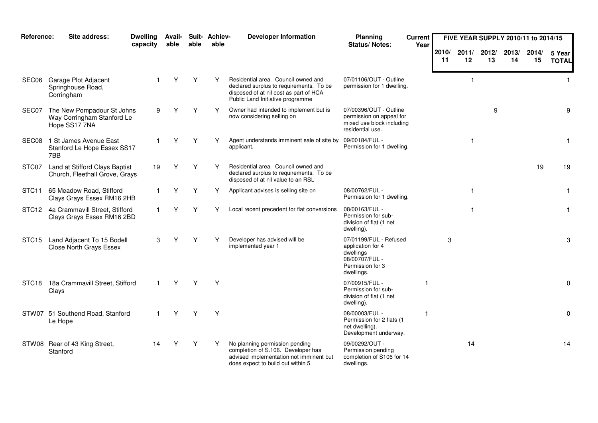| Reference:        | Site address:                                                             | <b>Dwelling</b><br>capacity | <b>Avail-</b><br>able | able | Suit- Achiev-<br>able | <b>Developer Information</b>                                                                                                                                 | <b>Planning</b><br><b>Status/Notes:</b>                                                                      | <b>Current</b><br>Year |             |              | FIVE YEAR SUPPLY 2010/11 to 2014/15 |             |             |                        |
|-------------------|---------------------------------------------------------------------------|-----------------------------|-----------------------|------|-----------------------|--------------------------------------------------------------------------------------------------------------------------------------------------------------|--------------------------------------------------------------------------------------------------------------|------------------------|-------------|--------------|-------------------------------------|-------------|-------------|------------------------|
|                   |                                                                           |                             |                       |      |                       |                                                                                                                                                              |                                                                                                              |                        | 2010/<br>11 | 2011/<br>12  | 2012/<br>13                         | 2013/<br>14 | 2014/<br>15 | 5 Year<br><b>TOTAL</b> |
| SEC06             | Garage Plot Adjacent<br>Springhouse Road,<br>Corringham                   |                             | Y                     | Y    | Y                     | Residential area. Council owned and<br>declared surplus to requirements. To be<br>disposed of at nil cost as part of HCA<br>Public Land Initiative programme | 07/01106/OUT - Outline<br>permission for 1 dwelling.                                                         |                        |             | $\mathbf{1}$ |                                     |             |             | $\mathbf{1}$           |
| SEC07             | The New Pompadour St Johns<br>Way Corringham Stanford Le<br>Hope SS17 7NA | 9                           |                       | Υ    | Υ                     | Owner had intended to implement but is<br>now considering selling on                                                                                         | 07/00396/OUT - Outline<br>permission on appeal for<br>mixed use block including<br>residential use.          |                        |             |              | 9                                   |             |             | 9                      |
| SEC <sub>08</sub> | 1 St James Avenue East<br>Stanford Le Hope Essex SS17<br>7BB              |                             | Υ                     | Y    | Υ                     | Agent understands imminent sale of site by<br>applicant.                                                                                                     | 09/00184/FUL -<br>Permission for 1 dwelling.                                                                 |                        |             | $\mathbf 1$  |                                     |             |             | $\mathbf{1}$           |
| STC07             | Land at Stifford Clays Baptist<br>Church, Fleethall Grove, Grays          | 19                          | Y                     | Y    | Υ                     | Residential area. Council owned and<br>declared surplus to requirements. To be<br>disposed of at nil value to an RSL                                         |                                                                                                              |                        |             |              |                                     |             | 19          | 19                     |
| STC <sub>11</sub> | 65 Meadow Road, Stifford<br>Clays Grays Essex RM16 2HB                    | $\mathbf{1}$                | Υ                     | Υ    | Υ                     | Applicant advises is selling site on                                                                                                                         | 08/00762/FUL -<br>Permission for 1 dwelling.                                                                 |                        |             | $\mathbf{1}$ |                                     |             |             | 1                      |
| STC <sub>12</sub> | 4a Crammavill Street, Stifford<br>Clays Grays Essex RM16 2BD              |                             | Y                     | Υ    | Υ                     | Local recent precedent for flat conversions                                                                                                                  | 08/00163/FUL -<br>Permission for sub-<br>division of flat (1 net<br>dwelling).                               |                        |             | $\mathbf{1}$ |                                     |             |             | $\mathbf{1}$           |
| STC <sub>15</sub> | Land Adjacent To 15 Bodell<br><b>Close North Grays Essex</b>              | 3                           | Υ                     | Υ    | Υ                     | Developer has advised will be<br>implemented year 1                                                                                                          | 07/01199/FUL - Refused<br>application for 4<br>dwellings<br>08/00707/FUL -<br>Permission for 3<br>dwellings. |                        | 3           |              |                                     |             |             | 3                      |
|                   | STC18 18a Crammavill Street, Stifford<br>Clays                            | $\mathbf{1}$                | Y                     | Y    | Y                     |                                                                                                                                                              | 07/00915/FUL -<br>Permission for sub-<br>division of flat (1 net<br>dwelling).                               |                        |             |              |                                     |             |             | $\Omega$               |
|                   | STW07 51 Southend Road, Stanford<br>Le Hope                               |                             |                       | Υ    | Y                     |                                                                                                                                                              | 08/00003/FUL -<br>Permission for 2 flats (1<br>net dwelling).<br>Development underway.                       |                        |             |              |                                     |             |             | $\mathbf 0$            |
|                   | STW08 Rear of 43 King Street,<br>Stanford                                 | 14                          | Υ                     | Υ    | Y                     | No planning permission pending<br>completion of S.106. Developer has<br>advised implementation not imminent but<br>does expect to build out within 5         | 09/00292/OUT -<br>Permission pending<br>completion of S106 for 14<br>dwellings.                              |                        |             | 14           |                                     |             |             | 14                     |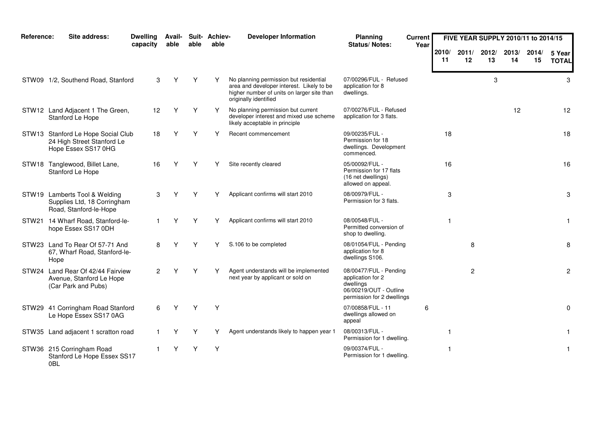| Reference: | Site address:                                                                           | <b>Dwelling</b><br>capacity | Avail-<br>able | able | Suit- Achiev-<br>able | <b>Developer Information</b>                                                                                                                               | Planning<br>Status/Notes:                                                                                        | <b>Current</b><br>Year |             | FIVE YEAR SUPPLY 2010/11 to 2014/15 |             |             |             |                        |
|------------|-----------------------------------------------------------------------------------------|-----------------------------|----------------|------|-----------------------|------------------------------------------------------------------------------------------------------------------------------------------------------------|------------------------------------------------------------------------------------------------------------------|------------------------|-------------|-------------------------------------|-------------|-------------|-------------|------------------------|
|            |                                                                                         |                             |                |      |                       |                                                                                                                                                            |                                                                                                                  |                        | 2010/<br>11 | 2011/<br>12                         | 2012/<br>13 | 2013/<br>14 | 2014/<br>15 | 5 Year<br><b>TOTAL</b> |
|            | STW09 1/2, Southend Road, Stanford                                                      | 3                           | Y              | Υ    | Y                     | No planning permission but residential<br>area and developer interest. Likely to be<br>higher number of units on larger site than<br>originally identified | 07/00296/FUL - Refused<br>application for 8<br>dwellings.                                                        |                        |             |                                     | 3           |             |             | 3                      |
|            | STW12 Land Adjacent 1 The Green,<br>Stanford Le Hope                                    | 12                          | Υ              | Υ    | Y                     | No planning permission but current<br>developer interest and mixed use scheme<br>likely acceptable in principle                                            | 07/00276/FUL - Refused<br>application for 3 flats.                                                               |                        |             |                                     |             | 12          |             | 12                     |
|            | STW13 Stanford Le Hope Social Club<br>24 High Street Stanford Le<br>Hope Essex SS17 0HG | 18                          |                | Υ    |                       | Recent commencement                                                                                                                                        | 09/00235/FUL -<br>Permission for 18<br>dwellings. Development<br>commenced.                                      |                        | 18          |                                     |             |             |             | 18                     |
|            | STW18 Tanglewood, Billet Lane,<br>Stanford Le Hope                                      | 16                          |                | Υ    |                       | Site recently cleared                                                                                                                                      | 05/00092/FUL -<br>Permission for 17 flats<br>(16 net dwellings)<br>allowed on appeal.                            |                        | 16          |                                     |             |             |             | 16                     |
|            | STW19 Lamberts Tool & Welding<br>Supplies Ltd, 18 Corringham<br>Road, Stanford-le-Hope  | 3                           | Y              | Υ    | Υ                     | Applicant confirms will start 2010                                                                                                                         | 08/00979/FUL -<br>Permission for 3 flats.                                                                        |                        | 3           |                                     |             |             |             | 3                      |
|            | STW21 14 Wharf Road, Stanford-le-<br>hope Essex SS17 0DH                                | 1.                          | Y              | Y    | Y                     | Applicant confirms will start 2010                                                                                                                         | 08/00548/FUL -<br>Permitted conversion of<br>shop to dwelling.                                                   |                        |             |                                     |             |             |             | $\mathbf{1}$           |
|            | STW23 Land To Rear Of 57-71 And<br>67, Wharf Road, Stanford-le-<br>Hope                 | 8                           | Υ              | Υ    |                       | S.106 to be completed                                                                                                                                      | 08/01054/FUL - Pending<br>application for 8<br>dwellings S106.                                                   |                        |             | 8                                   |             |             |             | 8                      |
|            | STW24 Land Rear Of 42/44 Fairview<br>Avenue, Stanford Le Hope<br>(Car Park and Pubs)    | $\overline{2}$              | Υ              | Y    | Y                     | Agent understands will be implemented<br>next year by applicant or sold on                                                                                 | 08/00477/FUL - Pending<br>application for 2<br>dwellings<br>06/00219/OUT - Outline<br>permission for 2 dwellings |                        |             | $\overline{2}$                      |             |             |             | $\mathbf{2}$           |
|            | STW29 41 Corringham Road Stanford<br>Le Hope Essex SS17 0AG                             | 6                           | Y              | Y    | Y                     |                                                                                                                                                            | 07/00858/FUL - 11<br>dwellings allowed on<br>appeal                                                              | 6                      |             |                                     |             |             |             | $\mathbf 0$            |
|            | STW35 Land adjacent 1 scratton road                                                     |                             |                | Υ    | Υ                     | Agent understands likely to happen year 1                                                                                                                  | 08/00313/FUL -<br>Permission for 1 dwelling.                                                                     |                        |             |                                     |             |             |             | $\mathbf{1}$           |
|            | STW36 215 Corringham Road<br>Stanford Le Hope Essex SS17<br>0BL                         |                             | Y              | Υ    | Υ                     |                                                                                                                                                            | 09/00374/FUL -<br>Permission for 1 dwelling.                                                                     |                        |             |                                     |             |             |             | $\mathbf{1}$           |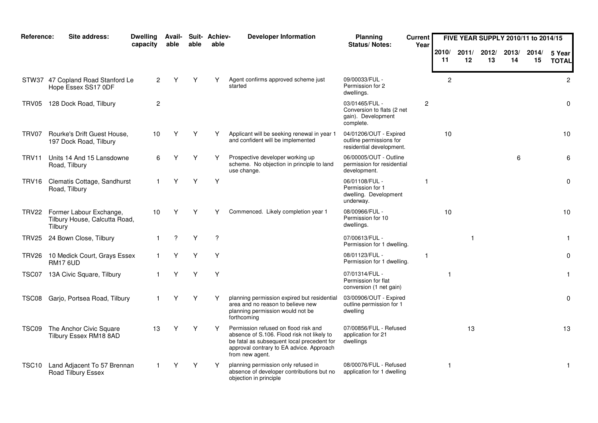| Reference: | Site address:                                                       | <b>Dwelling</b><br>capacity | Avail-<br>able | able | Suit- Achiev-<br>able | <b>Developer Information</b>                                                                                                                                                                    | <b>Planning</b><br><b>Status/Notes:</b>                                         | <b>Current</b><br>Year |                |             | FIVE YEAR SUPPLY 2010/11 to 2014/15 |             |             |                        |
|------------|---------------------------------------------------------------------|-----------------------------|----------------|------|-----------------------|-------------------------------------------------------------------------------------------------------------------------------------------------------------------------------------------------|---------------------------------------------------------------------------------|------------------------|----------------|-------------|-------------------------------------|-------------|-------------|------------------------|
|            |                                                                     |                             |                |      |                       |                                                                                                                                                                                                 |                                                                                 |                        | 2010/<br>-11   | 2011/<br>12 | 2012/<br>13                         | 2013/<br>14 | 2014/<br>15 | 5 Year<br><b>TOTAL</b> |
|            | STW37 47 Copland Road Stanford Le<br>Hope Essex SS17 0DF            | 2                           |                | Υ    | Y                     | Agent confirms approved scheme just<br>started                                                                                                                                                  | 09/00033/FUL -<br>Permission for 2<br>dwellings.                                |                        | $\overline{c}$ |             |                                     |             |             | $\overline{2}$         |
|            | TRV05 128 Dock Road, Tilbury                                        | $\overline{2}$              |                |      |                       |                                                                                                                                                                                                 | 03/01465/FUL -<br>Conversion to flats (2 net<br>gain). Development<br>complete. | $\overline{2}$         |                |             |                                     |             |             | $\mathbf 0$            |
| TRV07      | Rourke's Drift Guest House,<br>197 Dock Road, Tilbury               | 10                          | Υ              | Υ    | Y                     | Applicant will be seeking renewal in year 1<br>and confident will be implemented                                                                                                                | 04/01206/OUT - Expired<br>outline permissions for<br>residential development.   |                        | 10             |             |                                     |             |             | 10                     |
| TRV11      | Units 14 And 15 Lansdowne<br>Road, Tilbury                          | 6                           |                | Υ    | Y                     | Prospective developer working up<br>scheme. No objection in principle to land<br>use change.                                                                                                    | 06/00005/OUT - Outline<br>permission for residential<br>development.            |                        |                |             |                                     | 6           |             | 6                      |
| TRV16      | Clematis Cottage, Sandhurst<br>Road, Tilbury                        |                             | Υ              | Y    | Y                     |                                                                                                                                                                                                 | 06/01108/FUL -<br>Permission for 1<br>dwelling. Development<br>underway.        | -1                     |                |             |                                     |             |             | $\mathbf 0$            |
| TRV22      | Former Labour Exchange,<br>Tilbury House, Calcutta Road,<br>Tilbury | 10                          | Υ              | Υ    |                       | Commenced. Likely completion year 1                                                                                                                                                             | 08/00966/FUL -<br>Permission for 10<br>dwellings.                               |                        | 10             |             |                                     |             |             | 10                     |
| TRV25      | 24 Bown Close, Tilbury                                              | 1.                          | ?              | Υ    | $\overline{?}$        |                                                                                                                                                                                                 | 07/00613/FUL -<br>Permission for 1 dwelling.                                    |                        |                |             |                                     |             |             | $\mathbf{1}$           |
| TRV26      | 10 Medick Court, Grays Essex<br><b>RM17 6UD</b>                     |                             | Υ              | Y    | Y                     |                                                                                                                                                                                                 | 08/01123/FUL -<br>Permission for 1 dwelling.                                    | -1                     |                |             |                                     |             |             | 0                      |
|            | TSC07 13A Civic Square, Tilbury                                     |                             | Y              | Y    | Y                     |                                                                                                                                                                                                 | 07/01314/FUL -<br>Permission for flat<br>conversion (1 net gain)                |                        | $\mathbf{1}$   |             |                                     |             |             | $\mathbf{1}$           |
| TSC08      | Garjo, Portsea Road, Tilbury                                        |                             | Υ              | Y    | Y                     | planning permission expired but residential<br>area and no reason to believe new<br>planning permission would not be<br>forthcoming                                                             | 03/00906/OUT - Expired<br>outline permission for 1<br>dwelling                  |                        |                |             |                                     |             |             | $\mathbf 0$            |
| TSC09      | The Anchor Civic Square<br>Tilbury Essex RM18 8AD                   | 13                          | Y              | Y    | Y                     | Permission refused on flood risk and<br>absence of S.106. Flood risk not likely to<br>be fatal as subsequent local precedent for<br>approval contrary to EA advice. Approach<br>from new agent. | 07/00856/FUL - Refused<br>application for 21<br>dwellings                       |                        |                | 13          |                                     |             |             | 13                     |
| TSC10      | Land Adjacent To 57 Brennan<br>Road Tilbury Essex                   |                             |                | Y    | Y                     | planning permission only refused in<br>absence of developer contributions but no<br>objection in principle                                                                                      | 08/00076/FUL - Refused<br>application for 1 dwelling                            |                        | 1              |             |                                     |             |             | $\mathbf{1}$           |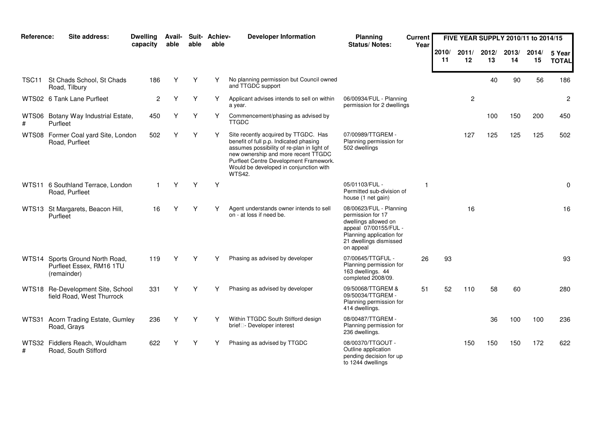| Reference:        | Site address:                                                        | <b>Dwelling</b><br>capacity | Avail-<br>able | able | Suit- Achiev-<br>able | <b>Developer Information</b>                                                                                                                                                                                                                                             | <b>Planning</b><br><b>Status/Notes:</b>                                                                                                                          | <b>Current</b><br>Year |             |              | FIVE YEAR SUPPLY 2010/11 to 2014/15 |             |             |                        |
|-------------------|----------------------------------------------------------------------|-----------------------------|----------------|------|-----------------------|--------------------------------------------------------------------------------------------------------------------------------------------------------------------------------------------------------------------------------------------------------------------------|------------------------------------------------------------------------------------------------------------------------------------------------------------------|------------------------|-------------|--------------|-------------------------------------|-------------|-------------|------------------------|
|                   |                                                                      |                             |                |      |                       |                                                                                                                                                                                                                                                                          |                                                                                                                                                                  |                        | 2010/<br>11 | 2011/<br>12  | 2012/<br>13                         | 2013/<br>14 | 2014/<br>15 | 5 Year<br><b>TOTAL</b> |
| TSC <sub>11</sub> | St Chads School, St Chads<br>Road, Tilbury                           | 186                         | Υ              | Υ    | Υ                     | No planning permission but Council owned<br>and TTGDC support                                                                                                                                                                                                            |                                                                                                                                                                  |                        |             |              | 40                                  | 90          | 56          | 186                    |
|                   | WTS02 6 Tank Lane Purfleet                                           | $\overline{2}$              | Y              | Y    | Υ                     | Applicant advises intends to sell on within<br>a year.                                                                                                                                                                                                                   | 06/00934/FUL - Planning<br>permission for 2 dwellings                                                                                                            |                        |             | $\mathbf{2}$ |                                     |             |             | $\overline{c}$         |
| #                 | WTS06 Botany Way Industrial Estate,<br>Purfleet                      | 450                         | Υ              | Υ    | Υ                     | Commencement/phasing as advised by<br><b>TTGDC</b>                                                                                                                                                                                                                       |                                                                                                                                                                  |                        |             |              | 100                                 | 150         | 200         | 450                    |
|                   | WTS08 Former Coal yard Site, London<br>Road, Purfleet                | 502                         | Υ              | Υ    | Y                     | Site recently acquired by TTGDC. Has<br>benefit of full p.p. Indicated phasing<br>assumes possibility of re-plan in light of<br>new ownership and more recent TTGDC<br>Purfleet Centre Development Framework.<br>Would be developed in conjunction with<br><b>WTS42.</b> | 07/00989/TTGREM -<br>Planning permission for<br>502 dwellings                                                                                                    |                        |             | 127          | 125                                 | 125         | 125         | 502                    |
|                   | WTS11 6 Southland Terrace, London<br>Road, Purfleet                  | $\mathbf{1}$                | Y              | Y    | Y                     |                                                                                                                                                                                                                                                                          | 05/01103/FUL -<br>Permitted sub-division of<br>house (1 net gain)                                                                                                |                        |             |              |                                     |             |             | 0                      |
|                   | WTS13 St Margarets, Beacon Hill,<br>Purfleet                         | 16                          | Υ              | Υ    | Y                     | Agent understands owner intends to sell<br>on - at loss if need be.                                                                                                                                                                                                      | 08/00623/FUL - Planning<br>permission for 17<br>dwellings allowed on<br>appeal 07/00155/FUL -<br>Planning application for<br>21 dwellings dismissed<br>on appeal |                        |             | 16           |                                     |             |             | 16                     |
| WTS14             | Sports Ground North Road,<br>Purfleet Essex, RM16 1TU<br>(remainder) | 119                         | Υ              | Y    |                       | Phasing as advised by developer                                                                                                                                                                                                                                          | 07/00645/TTGFUL -<br>Planning permission for<br>163 dwellings. 44<br>completed 2008/09.                                                                          | 26                     | 93          |              |                                     |             |             | 93                     |
|                   | WTS18 Re-Development Site, School<br>field Road, West Thurrock       | 331                         | Υ              | Υ    |                       | Phasing as advised by developer                                                                                                                                                                                                                                          | 09/50068/TTGREM &<br>09/50034/TTGREM -<br>Planning permission for<br>414 dwellings.                                                                              | 51                     | 52          | 110          | 58                                  | 60          |             | 280                    |
|                   | WTS31 Acorn Trading Estate, Gumley<br>Road, Grays                    | 236                         | Υ              | Υ    |                       | Within TTGDC South Stifford design<br>brief - Developer interest                                                                                                                                                                                                         | 08/00487/TTGREM -<br>Planning permission for<br>236 dwellings.                                                                                                   |                        |             |              | 36                                  | 100         | 100         | 236                    |
| #                 | WTS32 Fiddlers Reach, Wouldham<br>Road, South Stifford               | 622                         |                | Υ    | Υ                     | Phasing as advised by TTGDC                                                                                                                                                                                                                                              | 08/00370/TTGOUT -<br>Outline application<br>pending decision for up<br>to 1244 dwellings                                                                         |                        |             | 150          | 150                                 | 150         | 172         | 622                    |